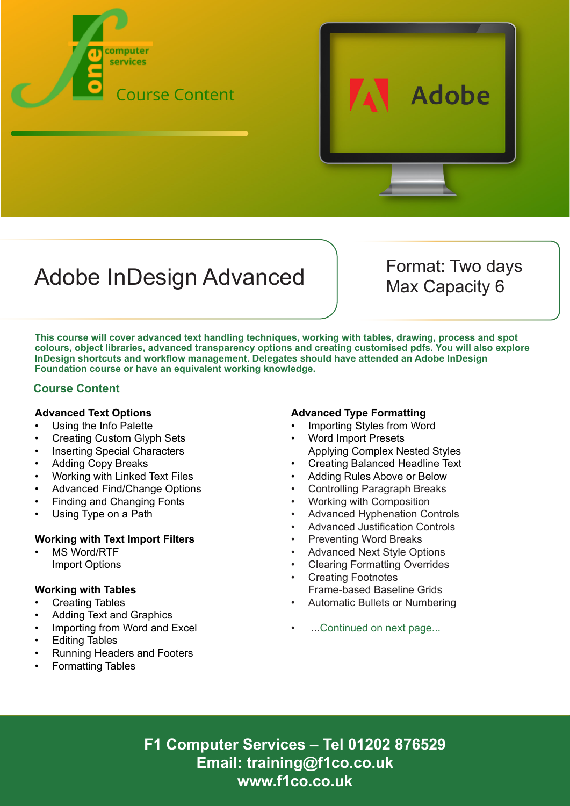



# Adobe InDesign Advanced Format: Two days

Max Capacity 6

**This course will cover advanced text handling techniques, working with tables, drawing, process and spot colours, object libraries, advanced transparency options and creating customised pdfs. You will also explore InDesign shortcuts and workflow management. Delegates should have attended an Adobe InDesign Foundation course or have an equivalent working knowledge.**

## **Course Content**

### **Advanced Text Options**

- Using the Info Palette
- Creating Custom Glyph Sets
- Inserting Special Characters
- Adding Copy Breaks
- Working with Linked Text Files
- Advanced Find/Change Options
- Finding and Changing Fonts
- Using Type on a Path

### **Working with Text Import Filters**

MS Word/RTF Import Options

### **Working with Tables**

- Creating Tables
- Adding Text and Graphics
- Importing from Word and Excel
- Editing Tables
- Running Headers and Footers
- Formatting Tables

### **Advanced Type Formatting**

- Importing Styles from Word
- Word Import Presets Applying Complex Nested Styles
- Creating Balanced Headline Text
- Adding Rules Above or Below
- Controlling Paragraph Breaks
- Working with Composition
- Advanced Hyphenation Controls
- Advanced Justification Controls
- Preventing Word Breaks
- Advanced Next Style Options
- Clearing Formatting Overrides
- Creating Footnotes Frame-based Baseline Grids
- Automatic Bullets or Numbering
- ...Continued on next page...

**F1 Computer Services – Tel 01202 876529 Email: training@f1co.co.uk www.f1co.co.uk**